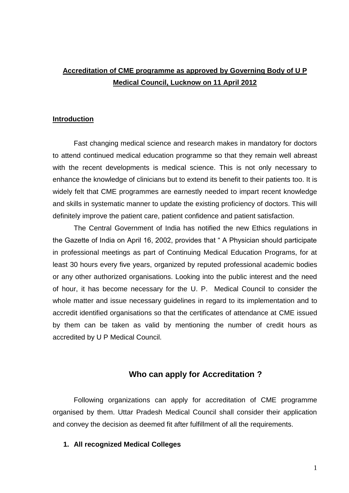# **Accreditation of CME programme as approved by Governing Body of U P Medical Council, Lucknow on 11 April 2012**

#### **Introduction**

Fast changing medical science and research makes in mandatory for doctors to attend continued medical education programme so that they remain well abreast with the recent developments is medical science. This is not only necessary to enhance the knowledge of clinicians but to extend its benefit to their patients too. It is widely felt that CME programmes are earnestly needed to impart recent knowledge and skills in systematic manner to update the existing proficiency of doctors. This will definitely improve the patient care, patient confidence and patient satisfaction.

The Central Government of India has notified the new Ethics regulations in the Gazette of India on April 16, 2002, provides that " A Physician should participate in professional meetings as part of Continuing Medical Education Programs, for at least 30 hours every five years, organized by reputed professional academic bodies or any other authorized organisations. Looking into the public interest and the need of hour, it has become necessary for the U. P. Medical Council to consider the whole matter and issue necessary guidelines in regard to its implementation and to accredit identified organisations so that the certificates of attendance at CME issued by them can be taken as valid by mentioning the number of credit hours as accredited by U P Medical Council.

#### **Who can apply for Accreditation ?**

Following organizations can apply for accreditation of CME programme organised by them. Uttar Pradesh Medical Council shall consider their application and convey the decision as deemed fit after fulfillment of all the requirements.

#### **1. All recognized Medical Colleges**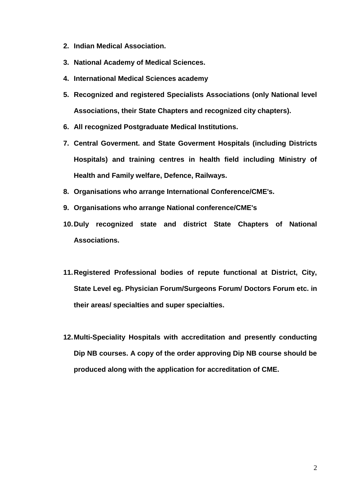- **2. Indian Medical Association.**
- **3. National Academy of Medical Sciences.**
- **4. International Medical Sciences academy**
- **5. Recognized and registered Specialists Associations (only National level Associations, their State Chapters and recognized city chapters).**
- **6. All recognized Postgraduate Medical Institutions.**
- **7. Central Goverment. and State Goverment Hospitals (including Districts Hospitals) and training centres in health field including Ministry of Health and Family welfare, Defence, Railways.**
- **8. Organisations who arrange International Conference/CME's.**
- **9. Organisations who arrange National conference/CME's**
- **10.Duly recognized state and district State Chapters of National Associations.**
- **11.Registered Professional bodies of repute functional at District, City, State Level eg. Physician Forum/Surgeons Forum/ Doctors Forum etc. in their areas/ specialties and super specialties.**
- **12.Multi-Speciality Hospitals with accreditation and presently conducting Dip NB courses. A copy of the order approving Dip NB course should be produced along with the application for accreditation of CME.**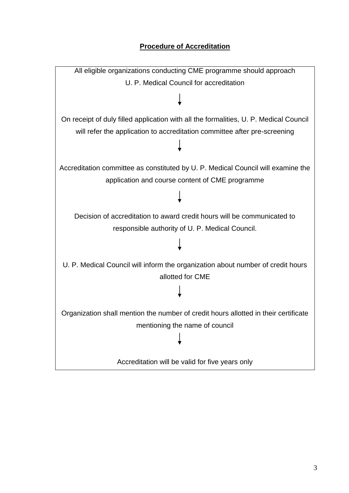## **Procedure of Accreditation**

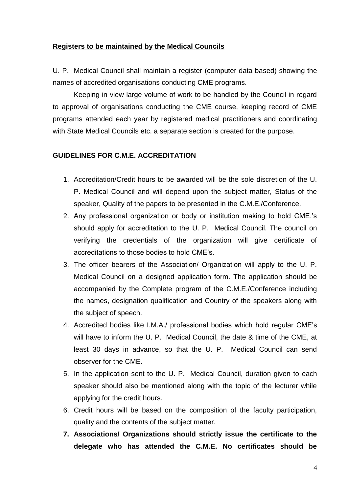#### **Registers to be maintained by the Medical Councils**

U. P. Medical Council shall maintain a register (computer data based) showing the names of accredited organisations conducting CME programs.

Keeping in view large volume of work to be handled by the Council in regard to approval of organisations conducting the CME course, keeping record of CME programs attended each year by registered medical practitioners and coordinating with State Medical Councils etc. a separate section is created for the purpose.

#### **GUIDELINES FOR C.M.E. ACCREDITATION**

- 1. Accreditation/Credit hours to be awarded will be the sole discretion of the U. P. Medical Council and will depend upon the subject matter, Status of the speaker, Quality of the papers to be presented in the C.M.E./Conference.
- 2. Any professional organization or body or institution making to hold CME.'s should apply for accreditation to the U. P. Medical Council. The council on verifying the credentials of the organization will give certificate of accreditations to those bodies to hold CME's.
- 3. The officer bearers of the Association/ Organization will apply to the U. P. Medical Council on a designed application form. The application should be accompanied by the Complete program of the C.M.E./Conference including the names, designation qualification and Country of the speakers along with the subject of speech.
- 4. Accredited bodies like I.M.A./ professional bodies which hold regular CME's will have to inform the U. P. Medical Council, the date & time of the CME, at least 30 days in advance, so that the U. P. Medical Council can send observer for the CME.
- 5. In the application sent to the U. P. Medical Council, duration given to each speaker should also be mentioned along with the topic of the lecturer while applying for the credit hours.
- 6. Credit hours will be based on the composition of the faculty participation, quality and the contents of the subject matter.
- **7. Associations/ Organizations should strictly issue the certificate to the delegate who has attended the C.M.E. No certificates should be**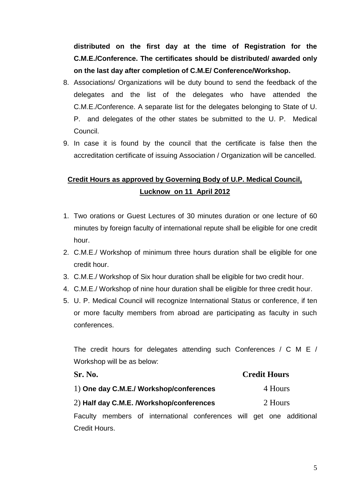**distributed on the first day at the time of Registration for the C.M.E./Conference. The certificates should be distributed/ awarded only on the last day after completion of C.M.E/ Conference/Workshop.**

- 8. Associations/ Organizations will be duty bound to send the feedback of the delegates and the list of the delegates who have attended the C.M.E./Conference. A separate list for the delegates belonging to State of U. P. and delegates of the other states be submitted to the U. P. Medical Council.
- 9. In case it is found by the council that the certificate is false then the accreditation certificate of issuing Association / Organization will be cancelled.

# **Credit Hours as approved by Governing Body of U.P. Medical Council, Lucknow on 11 April 2012**

- 1. Two orations or Guest Lectures of 30 minutes duration or one lecture of 60 minutes by foreign faculty of international repute shall be eligible for one credit hour.
- 2. C.M.E./ Workshop of minimum three hours duration shall be eligible for one credit hour.
- 3. C.M.E./ Workshop of Six hour duration shall be eligible for two credit hour.
- 4. C.M.E./ Workshop of nine hour duration shall be eligible for three credit hour.
- 5. U. P. Medical Council will recognize International Status or conference, if ten or more faculty members from abroad are participating as faculty in such conferences.

The credit hours for delegates attending such Conferences / C M E / Workshop will be as below:

| Sr. No.                                  |  |  | <b>Credit Hours</b>                                                  |  |  |  |  |
|------------------------------------------|--|--|----------------------------------------------------------------------|--|--|--|--|
| 1) One day C.M.E./ Workshop/conferences  |  |  | 4 Hours                                                              |  |  |  |  |
| 2) Half day C.M.E. /Workshop/conferences |  |  | 2 Hours                                                              |  |  |  |  |
|                                          |  |  | Faculty members of international conferences will get one additional |  |  |  |  |
| Credit Hours.                            |  |  |                                                                      |  |  |  |  |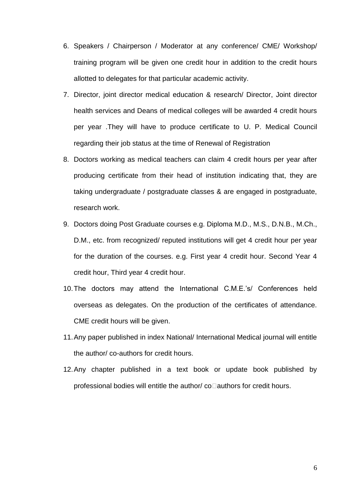- 6. Speakers / Chairperson / Moderator at any conference/ CME/ Workshop/ training program will be given one credit hour in addition to the credit hours allotted to delegates for that particular academic activity.
- 7. Director, joint director medical education & research/ Director, Joint director health services and Deans of medical colleges will be awarded 4 credit hours per year .They will have to produce certificate to U. P. Medical Council regarding their job status at the time of Renewal of Registration
- 8. Doctors working as medical teachers can claim 4 credit hours per year after producing certificate from their head of institution indicating that, they are taking undergraduate / postgraduate classes & are engaged in postgraduate, research work.
- 9. Doctors doing Post Graduate courses e.g. Diploma M.D., M.S., D.N.B., M.Ch., D.M., etc. from recognized/ reputed institutions will get 4 credit hour per year for the duration of the courses. e.g. First year 4 credit hour. Second Year 4 credit hour, Third year 4 credit hour.
- 10.The doctors may attend the International C.M.E.'s/ Conferences held overseas as delegates. On the production of the certificates of attendance. CME credit hours will be given.
- 11.Any paper published in index National/ International Medical journal will entitle the author/ co-authors for credit hours.
- 12.Any chapter published in a text book or update book published by professional bodies will entitle the author/ $co$ authors for credit hours.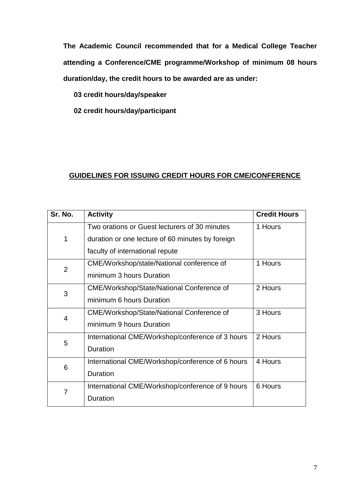**The Academic Council recommended that for a Medical College Teacher attending a Conference/CME programme/Workshop of minimum 08 hours duration/day, the credit hours to be awarded are as under:**

**03 credit hours/day/speaker**

**02 credit hours/day/participant**

### **GUIDELINES FOR ISSUING CREDIT HOURS FOR CME/CONFERENCE**

| Sr. No.        | <b>Activity</b>                                  | <b>Credit Hours</b> |
|----------------|--------------------------------------------------|---------------------|
|                | Two orations or Guest lecturers of 30 minutes    | 1 Hours             |
| 1              | duration or one lecture of 60 minutes by foreign |                     |
|                | faculty of international repute                  |                     |
| $\overline{2}$ | CME/Workshop/state/National conference of        | 1 Hours             |
|                | minimum 3 hours Duration                         |                     |
| 3              | <b>CME/Workshop/State/National Conference of</b> | 2 Hours             |
|                | minimum 6 hours Duration                         |                     |
| $\overline{4}$ | <b>CME/Workshop/State/National Conference of</b> | 3 Hours             |
|                | minimum 9 hours Duration                         |                     |
| 5              | International CME/Workshop/conference of 3 hours | 2 Hours             |
|                | <b>Duration</b>                                  |                     |
| 6              | International CME/Workshop/conference of 6 hours | 4 Hours             |
|                | <b>Duration</b>                                  |                     |
| 7              | International CME/Workshop/conference of 9 hours | 6 Hours             |
|                | <b>Duration</b>                                  |                     |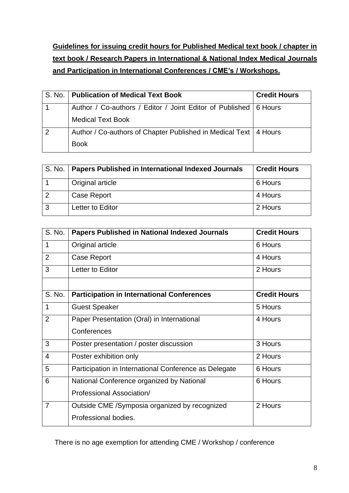**Guidelines for issuing credit hours for Published Medical text book / chapter in text book / Research Papers in International & National Index Medical Journals and Participation in International Conferences / CME's / Workshops.**

|                | S. No.   Publication of Medical Text Book                          | <b>Credit Hours</b> |
|----------------|--------------------------------------------------------------------|---------------------|
|                | Author / Co-authors / Editor / Joint Editor of Published   6 Hours |                     |
|                | <b>Medical Text Book</b>                                           |                     |
| $\overline{2}$ | Author / Co-authors of Chapter Published in Medical Text   4 Hours |                     |
|                | <b>Book</b>                                                        |                     |

|   | S. No.   Papers Published in International Indexed Journals | <b>Credit Hours</b> |
|---|-------------------------------------------------------------|---------------------|
|   | Original article                                            | 6 Hours             |
| 2 | <b>Case Report</b>                                          | 4 Hours             |
| 3 | Letter to Editor                                            | 2 Hours             |

| S. No.         | <b>Papers Published in National Indexed Journals</b>  | <b>Credit Hours</b> |
|----------------|-------------------------------------------------------|---------------------|
| 1              | Original article                                      | 6 Hours             |
| $\overline{2}$ | Case Report                                           | 4 Hours             |
| 3              | Letter to Editor                                      | 2 Hours             |
|                |                                                       |                     |
| S. No.         | <b>Participation in International Conferences</b>     | <b>Credit Hours</b> |
| 1              | <b>Guest Speaker</b>                                  | 5 Hours             |
| $\overline{2}$ | Paper Presentation (Oral) in International            | 4 Hours             |
|                | Conferences                                           |                     |
| 3              | Poster presentation / poster discussion               | 3 Hours             |
| $\overline{4}$ | Poster exhibition only                                | 2 Hours             |
| 5              | Participation in International Conference as Delegate | 6 Hours             |
| 6              | National Conference organized by National             | 6 Hours             |
|                | Professional Association/                             |                     |
| $\overline{7}$ | Outside CME / Symposia organized by recognized        | 2 Hours             |
|                | Professional bodies.                                  |                     |

There is no age exemption for attending CME / Workshop / conference